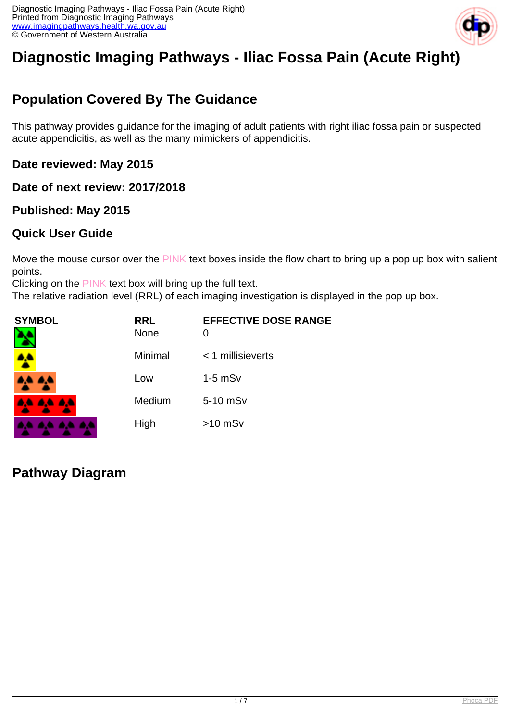

# **Diagnostic Imaging Pathways - Iliac Fossa Pain (Acute Right)**

# **Population Covered By The Guidance**

This pathway provides guidance for the imaging of adult patients with right iliac fossa pain or suspected acute appendicitis, as well as the many mimickers of appendicitis.

**Date reviewed: May 2015**

**Date of next review: 2017/2018**

## **Published: May 2015**

## **Quick User Guide**

Move the mouse cursor over the PINK text boxes inside the flow chart to bring up a pop up box with salient points.

Clicking on the PINK text box will bring up the full text.

The relative radiation level (RRL) of each imaging investigation is displayed in the pop up box.

| <b>SYMBOL</b> | <b>RRL</b><br><b>None</b> | <b>EFFECTIVE DOSE RANGE</b><br>0 |
|---------------|---------------------------|----------------------------------|
| 4             | Minimal                   | $<$ 1 millisieverts              |
| 4,4 4,4       | Low                       | $1-5$ mSv                        |
| 4A 4A 4A      | Medium                    | 5-10 mSv                         |
|               | High                      | $>10$ mSv                        |

**Pathway Diagram**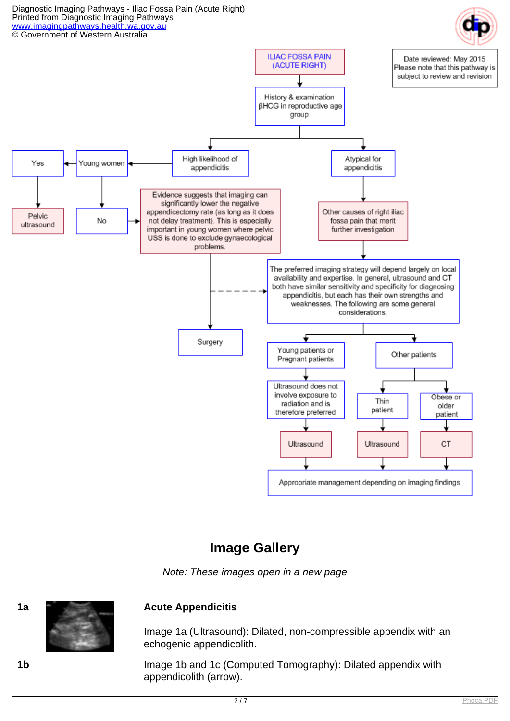

## **Image Gallery**

Note: These images open in a new page



#### **1a Acute Appendicitis**

Image 1a (Ultrasound): Dilated, non-compressible appendix with an echogenic appendicolith.

**1b** Image 1b and 1c (Computed Tomography): Dilated appendix with appendicolith (arrow).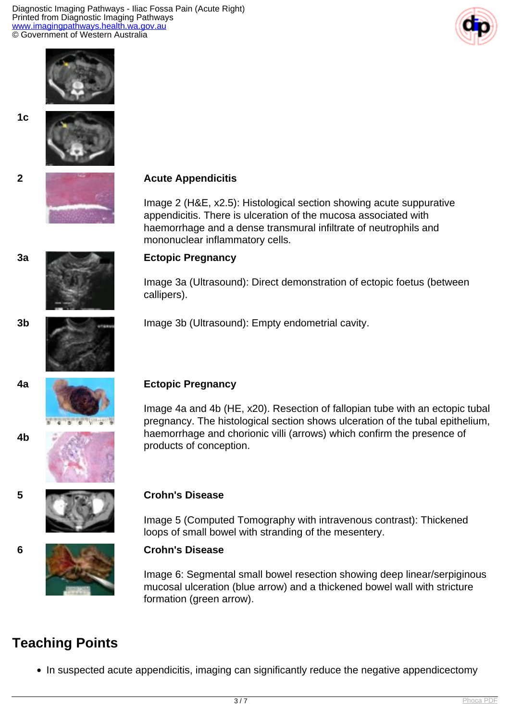Diagnostic Imaging Pathways - Iliac Fossa Pain (Acute Right) Printed from Diagnostic Imaging Pathways [www.imagingpathways.health.wa.gov.au](http://www.imagingpathways.health.wa.gov.au/) © Government of Western Australia









# **2 Acute Appendicitis**

Image 2 (H&E, x2.5): Histological section showing acute suppurative appendicitis. There is ulceration of the mucosa associated with haemorrhage and a dense transmural infiltrate of neutrophils and mononuclear inflammatory cells.

**4b**

#### **3a Ectopic Pregnancy**

Image 3a (Ultrasound): Direct demonstration of ectopic foetus (between callipers).

**3b Image 3b (Ultrasound): Empty endometrial cavity.** 



## **4a Ectopic Pregnancy**

Image 4a and 4b (HE, x20). Resection of fallopian tube with an ectopic tubal pregnancy. The histological section shows ulceration of the tubal epithelium, haemorrhage and chorionic villi (arrows) which confirm the presence of products of conception.





Image 5 (Computed Tomography with intravenous contrast): Thickened loops of small bowel with stranding of the mesentery.

#### **6 Crohn's Disease**

Image 6: Segmental small bowel resection showing deep linear/serpiginous mucosal ulceration (blue arrow) and a thickened bowel wall with stricture formation (green arrow).

## **Teaching Points**

• In suspected acute appendicitis, imaging can significantly reduce the negative appendicectomy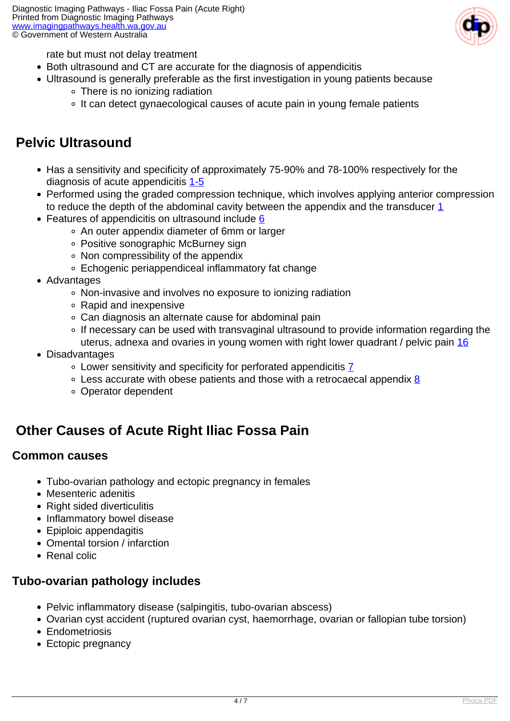

rate but must not delay treatment

- Both ultrasound and CT are accurate for the diagnosis of appendicitis
- Ultrasound is generally preferable as the first investigation in young patients because
	- There is no ionizing radiation
	- It can detect gynaecological causes of acute pain in young female patients

## **Pelvic Ultrasound**

- Has a sensitivity and specificity of approximately 75-90% and 78-100% respectively for the diagnosis of acute appendicitis [1-5](index.php?option=com_content&view=article&id=30&tab=references#1)
- Performed using the graded compression technique, which involves applying anterior compression to reduce the depth of the abdominal cavity between the appendix and the transducer [1](index.php?option=com_content&view=article&id=30&tab=references#1)
- Features of appendicitis on ultrasound include [6](index.php?option=com_content&view=article&id=30&tab=references#6)
	- An outer appendix diameter of 6mm or larger
	- Positive sonographic McBurney sign
	- Non compressibility of the appendix
	- Echogenic periappendiceal inflammatory fat change
- Advantages
	- Non-invasive and involves no exposure to ionizing radiation
	- Rapid and inexpensive
	- Can diagnosis an alternate cause for abdominal pain
	- If necessary can be used with transvaginal ultrasound to provide information regarding the uterus, adnexa and ovaries in young women with right lower quadrant / pelvic pain [16](index.php?option=com_content&view=article&id=30&tab=references#16)
- Disadvantages
	- Lower sensitivity and specificity for perforated appendicitis [7](index.php?option=com_content&view=article&id=30&tab=references#7)
	- $\circ$  Less accurate with obese patients and those with a retrocaecal appendix [8](index.php?option=com_content&view=article&id=30&tab=references#8)
	- Operator dependent

## **Other Causes of Acute Right Iliac Fossa Pain**

## **Common causes**

- Tubo-ovarian pathology and ectopic pregnancy in females
- Mesenteric adenitis
- Right sided diverticulitis
- Inflammatory bowel disease
- Epiploic appendagitis
- Omental torsion / infarction
- Renal colic

## **Tubo-ovarian pathology includes**

- Pelvic inflammatory disease (salpingitis, tubo-ovarian abscess)
- Ovarian cyst accident (ruptured ovarian cyst, haemorrhage, ovarian or fallopian tube torsion)
- Endometriosis
- Ectopic pregnancy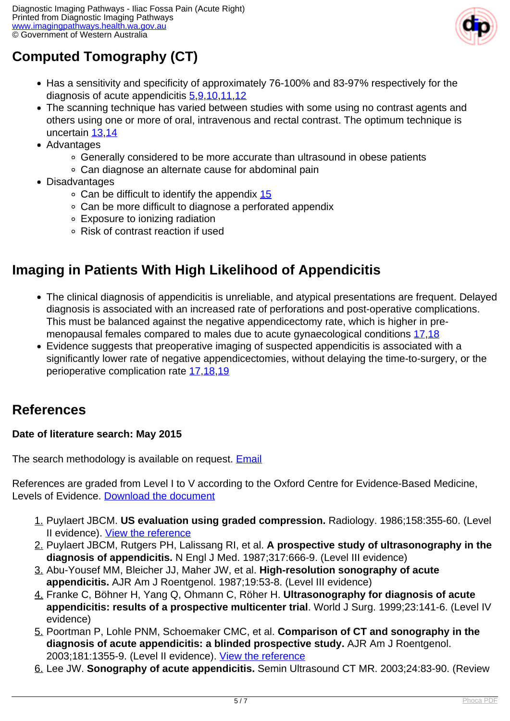

# **Computed Tomography (CT)**

- Has a sensitivity and specificity of approximately 76-100% and 83-97% respectively for the diagnosis of acute appendicitis [5,](index.php?option=com_content&view=article&id=30&tab=references#5) [9,](index.php?option=com_content&view=article&id=30&tab=references#9) [10](index.php?option=com_content&view=article&id=30&tab=references#10), [11](index.php?option=com_content&view=article&id=30&tab=references#11), 12
- The scanning technique has varied between studies with some using no contrast agents and others using one or more of oral, intravenous and rectal contrast. The optimum technique is uncertain [13](index.php?option=com_content&view=article&id=30&tab=references#13),[14](index.php?option=com_content&view=article&id=30&tab=references#13)
- Advantages
	- Generally considered to be more accurate than ultrasound in obese patients
	- Can diagnose an alternate cause for abdominal pain
- Disadvantages
	- $\circ$  Can be difficult to identify the appendix [15](index.php?option=com_content&view=article&id=30&tab=references#15)
	- Can be more difficult to diagnose a perforated appendix
	- Exposure to ionizing radiation
	- Risk of contrast reaction if used

# **Imaging in Patients With High Likelihood of Appendicitis**

- The clinical diagnosis of appendicitis is unreliable, and atypical presentations are frequent. Delayed diagnosis is associated with an increased rate of perforations and post-operative complications. This must be balanced against the negative appendicectomy rate, which is higher in premenopausal females compared to males due to acute gynaecological conditions [17](index.php?option=com_content&view=article&id=30&tab=references#17),[18](index.php?option=com_content&view=article&id=30&tab=references#18)
- Evidence suggests that preoperative imaging of suspected appendicitis is associated with a significantly lower rate of negative appendicectomies, without delaying the time-to-surgery, or the perioperative complication rate [17](index.php?option=com_content&view=article&id=30&tab=references#17),[18](index.php?option=com_content&view=article&id=30&tab=references#18)[,19](index.php?option=com_content&view=article&id=30&tab=references#19)

## **References**

## **Date of literature search: May 2015**

The search methodology is available on request. **[Email](index.php/contact-us)** 

References are graded from Level I to V according to the Oxford Centre for Evidence-Based Medicine, Levels of Evidence. [Download the document](http://www.cebm.net/wp-content/uploads/2014/06/CEBM-Levels-of-Evidence-2.1.pdf)

- 1. Puylaert JBCM. **US evaluation using graded compression.** Radiology. 1986;158:355-60. (Level II evidence). [View the reference](http://www.ncbi.nlm.nih.gov/entrez/query.fcgi?db=pubmed&cmd=Retrieve&dopt=AbstractPlus&list_uids=2934762&query_hl=31&itool=pubmed_docsum)
- 2. Puylaert JBCM, Rutgers PH, Lalissang RI, et al. **A prospective study of ultrasonography in the diagnosis of appendicitis.** N Engl J Med. 1987;317:666-9. (Level III evidence)
- 3. Abu-Yousef MM, Bleicher JJ, Maher JW, et al. **High-resolution sonography of acute appendicitis.** AJR Am J Roentgenol. 1987;19:53-8. (Level III evidence)
- 4. Franke C, Böhner H, Yang Q, Ohmann C, Röher H. **Ultrasonography for diagnosis of acute appendicitis: results of a prospective multicenter trial**. World J Surg. 1999;23:141-6. (Level IV evidence)
- 5. Poortman P, Lohle PNM, Schoemaker CMC, et al. **Comparison of CT and sonography in the diagnosis of acute appendicitis: a blinded prospective study.** AJR Am J Roentgenol. 2003;181:1355-9. (Level II evidence). [View the reference](http://www.ncbi.nlm.nih.gov/pubmed/14573433)
- 6. Lee JW. **Sonography of acute appendicitis.** Semin Ultrasound CT MR. 2003;24:83-90. (Review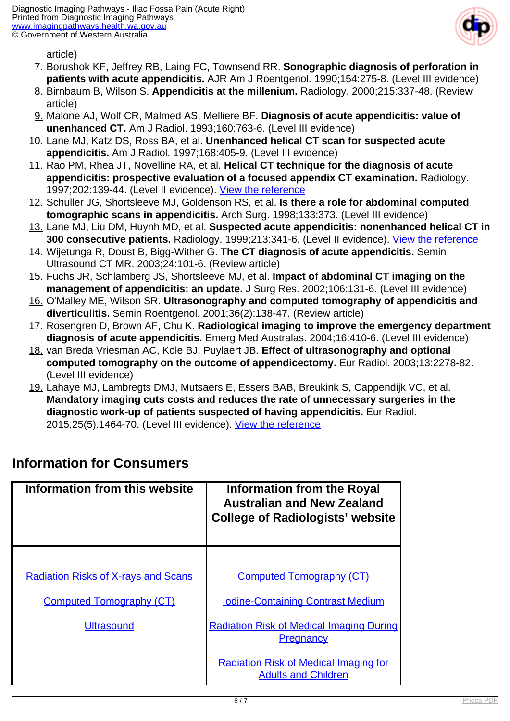

article)

- 7. Borushok KF, Jeffrey RB, Laing FC, Townsend RR. **Sonographic diagnosis of perforation in patients with acute appendicitis.** AJR Am J Roentgenol. 1990;154:275-8. (Level III evidence)
- 8. Birnbaum B, Wilson S. **Appendicitis at the millenium.** Radiology. 2000;215:337-48. (Review article)
- 9. Malone AJ, Wolf CR, Malmed AS, Melliere BF. **Diagnosis of acute appendicitis: value of unenhanced CT.** Am J Radiol. 1993;160:763-6. (Level III evidence)
- 10. Lane MJ, Katz DS, Ross BA, et al. **Unenhanced helical CT scan for suspected acute appendicitis.** Am J Radiol. 1997;168:405-9. (Level III evidence)
- 11. Rao PM, Rhea JT, Novelline RA, et al. **Helical CT technique for the diagnosis of acute appendicitis: prospective evaluation of a focused appendix CT examination.** Radiology. 1997;202:139-44. (Level II evidence). [View the reference](http://www.ncbi.nlm.nih.gov/pubmed/8988203)
- 12. Schuller JG, Shortsleeve MJ, Goldenson RS, et al. **Is there a role for abdominal computed tomographic scans in appendicitis.** Arch Surg. 1998;133:373. (Level III evidence)
- 13. Lane MJ, Liu DM, Huynh MD, et al. **Suspected acute appendicitis: nonenhanced helical CT in 300 consecutive patients.** Radiology. 1999;213:341-6. (Level II evidence). [View the reference](http://www.ncbi.nlm.nih.gov/pubmed/10551210)
- 14. Wijetunga R, Doust B, Bigg-Wither G. **The CT diagnosis of acute appendicitis.** Semin Ultrasound CT MR. 2003;24:101-6. (Review article)
- 15. Fuchs JR, Schlamberg JS, Shortsleeve MJ, et al. **Impact of abdominal CT imaging on the management of appendicitis: an update.** J Surg Res. 2002;106:131-6. (Level III evidence)
- 16. O'Malley ME, Wilson SR. **Ultrasonography and computed tomography of appendicitis and diverticulitis.** Semin Roentgenol. 2001;36(2):138-47. (Review article)
- 17. Rosengren D, Brown AF, Chu K. **Radiological imaging to improve the emergency department diagnosis of acute appendicitis.** Emerg Med Australas. 2004;16:410-6. (Level III evidence)
- 18. van Breda Vriesman AC, Kole BJ, Puylaert JB. **Effect of ultrasonography and optional computed tomography on the outcome of appendicectomy.** Eur Radiol. 2003;13:2278-82. (Level III evidence)
- 19. Lahaye MJ, Lambregts DMJ, Mutsaers E, Essers BAB, Breukink S, Cappendijk VC, et al. **Mandatory imaging cuts costs and reduces the rate of unnecessary surgeries in the diagnostic work-up of patients suspected of having appendicitis.** Eur Radiol. 2015;25(5):1464-70. (Level III evidence). [View the reference](http://www.ncbi.nlm.nih.gov/pubmed/25591748)

| Information from this website                                                 | Information from the Royal<br><b>Australian and New Zealand</b><br><b>College of Radiologists' website</b> |
|-------------------------------------------------------------------------------|------------------------------------------------------------------------------------------------------------|
| <b>Radiation Risks of X-rays and Scans</b><br><b>Computed Tomography (CT)</b> | <b>Computed Tomography (CT)</b><br><b>Iodine-Containing Contrast Medium</b>                                |
| <b>Ultrasound</b>                                                             | <b>Radiation Risk of Medical Imaging During</b><br><b>Pregnancy</b>                                        |
|                                                                               | <b>Radiation Risk of Medical Imaging for</b><br><b>Adults and Children</b>                                 |

## **Information for Consumers**